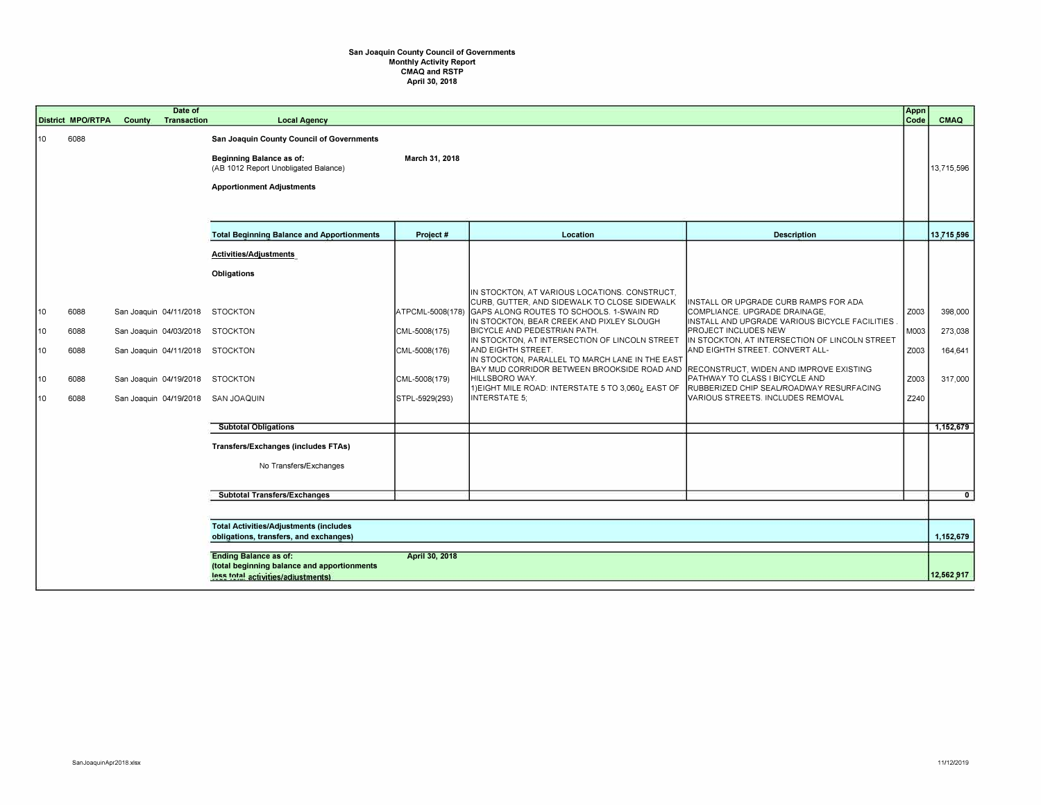## **San Joaquin County Council of Governments Monthly Activity Report CMAQ and RSTP April 30, 2018**

|                             | <b>District MPO/RTPA</b>             | <b>County</b> | Date of<br><b>Transaction</b> | <b>Local Agency</b>                                                                                                                                                                                                     |                                                                                       |                                                                                                                                                                                                                                                                                                                                                                                                                                                                                                                                                 |                                                                                                                                                                                                                                                                                                                                                           | Appn<br>Code                         | CMAQ                                     |
|-----------------------------|--------------------------------------|---------------|-------------------------------|-------------------------------------------------------------------------------------------------------------------------------------------------------------------------------------------------------------------------|---------------------------------------------------------------------------------------|-------------------------------------------------------------------------------------------------------------------------------------------------------------------------------------------------------------------------------------------------------------------------------------------------------------------------------------------------------------------------------------------------------------------------------------------------------------------------------------------------------------------------------------------------|-----------------------------------------------------------------------------------------------------------------------------------------------------------------------------------------------------------------------------------------------------------------------------------------------------------------------------------------------------------|--------------------------------------|------------------------------------------|
| 10                          | 6088                                 |               |                               | San Joaquin County Council of Governments<br>Beginning Balance as of:<br>(AB 1012 Report Unobligated Balance)<br><b>Apportionment Adjustments</b>                                                                       | March 31, 2018                                                                        |                                                                                                                                                                                                                                                                                                                                                                                                                                                                                                                                                 |                                                                                                                                                                                                                                                                                                                                                           |                                      | 13,715,596                               |
|                             |                                      |               |                               | <b>Total Beginning Balance and Apportionments</b>                                                                                                                                                                       | Project #                                                                             | <b>Location</b>                                                                                                                                                                                                                                                                                                                                                                                                                                                                                                                                 | <b>Description</b>                                                                                                                                                                                                                                                                                                                                        |                                      | 13,715,596                               |
| 10<br> 10<br>10<br>10<br>10 | 6088<br>6088<br>6088<br>6088<br>6088 |               |                               | Activities/Adjustments<br>Obligations<br>San Joaquin 04/11/2018 STOCKTON<br>San Joaquin 04/03/2018 STOCKTON<br>San Joaquin 04/11/2018 STOCKTON<br>San Joaquin 04/19/2018 STOCKTON<br>San Joaquin 04/19/2018 SAN JOAQUIN | ATPCML-5008(178)<br>CML-5008(175)<br>CML-5008(176)<br>CML-5008(179)<br>STPL-5929(293) | IN STOCKTON, AT VARIOUS LOCATIONS. CONSTRUCT,<br>CURB, GUTTER, AND SIDEWALK TO CLOSE SIDEWALK<br>GAPS ALONG ROUTES TO SCHOOLS. 1-SWAIN RD<br>IN STOCKTON, BEAR CREEK AND PIXLEY SLOUGH<br><b>BICYCLE AND PEDESTRIAN PATH.</b><br>IN STOCKTON, AT INTERSECTION OF LINCOLN STREET<br>AND EIGHTH STREET.<br>IN STOCKTON, PARALLEL TO MARCH LANE IN THE EAST<br>BAY MUD CORRIDOR BETWEEN BROOKSIDE ROAD AND RECONSTRUCT, WIDEN AND IMPROVE EXISTING<br>HILLSBORO WAY.<br>1) EIGHT MILE ROAD: INTERSTATE 5 TO 3,060¿ EAST OF<br><b>INTERSTATE 5:</b> | IINSTALL OR UPGRADE CURB RAMPS FOR ADA<br>COMPLIANCE. UPGRADE DRAINAGE,<br>INSTALL AND UPGRADE VARIOUS BICYCLE FACILITIES<br>PROJECT INCLUDES NEW<br>IN STOCKTON, AT INTERSECTION OF LINCOLN STREET<br>AND EIGHTH STREET. CONVERT ALL-<br>PATHWAY TO CLASS I BICYCLE AND<br>RUBBERIZED CHIP SEAL/ROADWAY RESURFACING<br>VARIOUS STREETS. INCLUDES REMOVAL | Z003<br>M003<br>Z003<br>Z003<br>Z240 | 398,000<br>273,038<br>164,641<br>317,000 |
|                             |                                      |               |                               | <b>Subtotal Obligations</b>                                                                                                                                                                                             |                                                                                       |                                                                                                                                                                                                                                                                                                                                                                                                                                                                                                                                                 |                                                                                                                                                                                                                                                                                                                                                           |                                      | 1,152,679                                |
|                             |                                      |               |                               | <b>Transfers/Exchanges (includes FTAs)</b><br>No Transfers/Exchanges<br><b>Subtotal Transfers/Exchanges</b>                                                                                                             |                                                                                       |                                                                                                                                                                                                                                                                                                                                                                                                                                                                                                                                                 |                                                                                                                                                                                                                                                                                                                                                           |                                      | $\mathbf 0$                              |
|                             |                                      |               |                               |                                                                                                                                                                                                                         |                                                                                       |                                                                                                                                                                                                                                                                                                                                                                                                                                                                                                                                                 |                                                                                                                                                                                                                                                                                                                                                           |                                      |                                          |
|                             |                                      |               |                               | <b>Total Activities/Adjustments (includes</b><br>obligations, transfers, and exchanges)                                                                                                                                 |                                                                                       |                                                                                                                                                                                                                                                                                                                                                                                                                                                                                                                                                 |                                                                                                                                                                                                                                                                                                                                                           |                                      | 1,152,679                                |
|                             |                                      |               |                               | <b>Ending Balance as of:</b><br>(total beginning balance and apportionments<br>less total activities/adiustments)                                                                                                       | April 30, 2018                                                                        |                                                                                                                                                                                                                                                                                                                                                                                                                                                                                                                                                 |                                                                                                                                                                                                                                                                                                                                                           |                                      | 12,562,917                               |